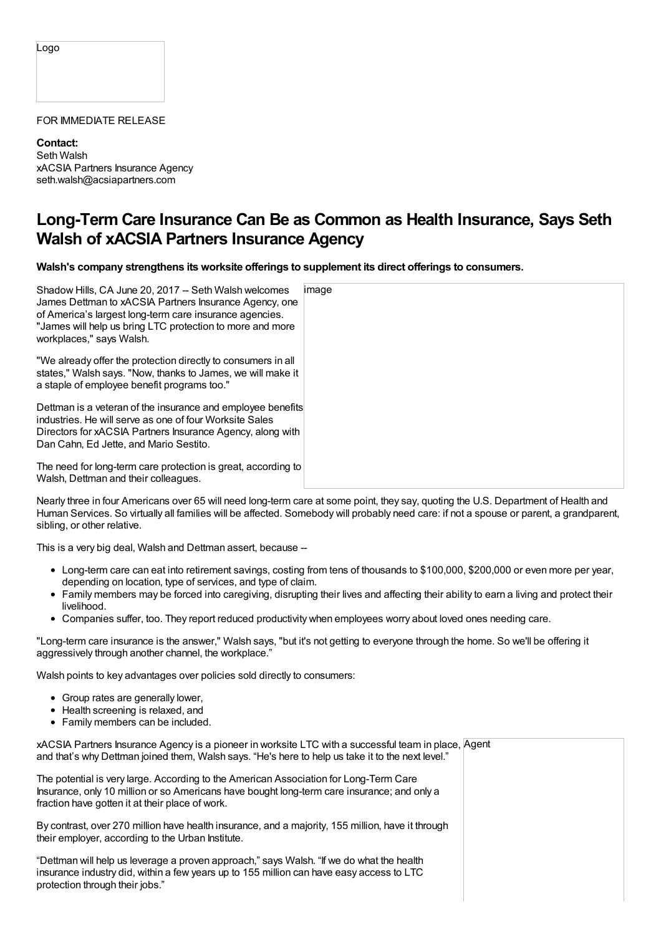Logo

## FOR IMMEDIATE RELEASE

**Contact:** Seth Walsh xACSIA Partners Insurance Agency seth.walsh@acsiapartners.com

## **Long-Term Care Insurance Can Be as Common as Health Insurance, Says Seth Walsh of xACSIA Partners Insurance Agency**

**Walsh's company strengthens its worksite offerings to supplement its direct offerings to consumers.**

| Shadow Hills, CA June 20, 2017 -- Seth Walsh welcomes<br>James Dettman to xACSIA Partners Insurance Agency, one<br>of America's largest long-term care insurance agencies.<br>"James will help us bring LTC protection to more and more<br>workplaces," says Walsh. | image |
|---------------------------------------------------------------------------------------------------------------------------------------------------------------------------------------------------------------------------------------------------------------------|-------|
| "We already offer the protection directly to consumers in all<br>states," Walsh says. "Now, thanks to James, we will make it<br>a staple of employee benefit programs too."                                                                                         |       |
| Dettman is a veteran of the insurance and employee benefits<br>industries. He will serve as one of four Worksite Sales<br>Directors for xACSIA Partners Insurance Agency, along with<br>Dan Cahn, Ed Jette, and Mario Sestito.                                      |       |
| The need for long-term care protection is great, according to<br>Walsh, Dettman and their colleagues.                                                                                                                                                               |       |

Nearly three in four Americans over 65 will need long-term care at some point, they say, quoting the U.S. Department of Health and Human Services. So virtually all families will be affected. Somebody will probably need care: if not a spouse or parent, a grandparent, sibling, or other relative.

This is a very big deal, Walsh and Dettman assert, because --

- Long-term care can eat into retirement savings, costing from tens of thousands to \$100,000, \$200,000 or even more per year, depending on location, type of services, and type of claim.
- Family members may be forced into caregiving, disrupting their lives and affecting their ability to earn a living and protect their livelihood.
- Companies suffer, too. They report reduced productivity when employees worry about loved ones needing care.

"Long-term care insurance is the answer," Walsh says, "but it's not getting to everyone through the home. So we'll be offering it aggressively through another channel, the workplace."

Walsh points to key advantages over policies sold directly to consumers:

- Group rates are generally lower,
- Health screening is relaxed, and
- Family members can be included.

xACSIA Partners Insurance Agency is a pioneer in worksite LTC with a successful team in place, Agent and that's why Dettman joined them, Walsh says. "He's here to help us take it to the next level."

The potential is very large. According to the American Association for Long-Term Care Insurance, only 10 million or so Americans have bought long-term care insurance; and only a fraction have gotten it at their place of work.

By contrast, over 270 million have health insurance, and a majority, 155 million, have it through their employer, according to the Urban Institute.

"Dettman will help us leverage a proven approach," says Walsh. "If we do what the health insurance industry did, within a few years up to 155 million can have easy access to LTC protection through their jobs."